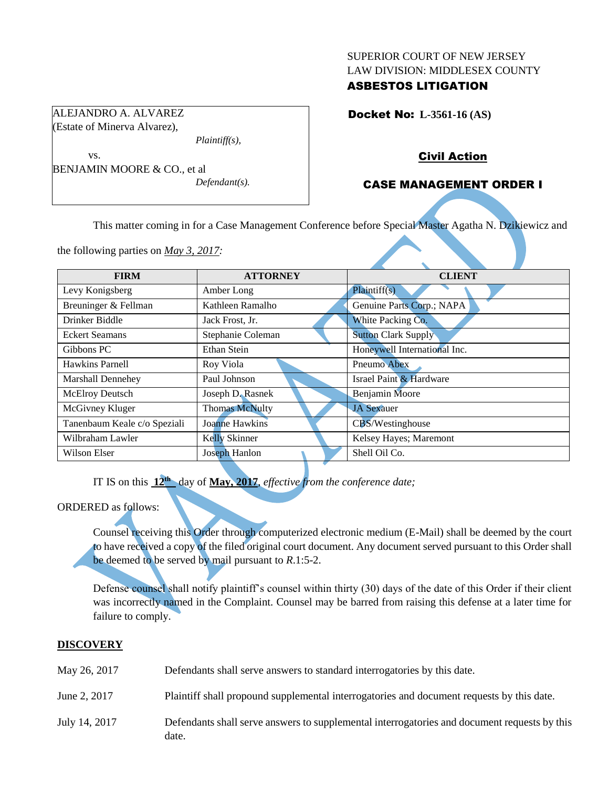#### SUPERIOR COURT OF NEW JERSEY LAW DIVISION: MIDDLESEX COUNTY

## ASBESTOS LITIGATION

Docket No: **L-3561-16 (AS)** 

### Civil Action

## CASE MANAGEMENT ORDER I

This matter coming in for a Case Management Conference before Special Master Agatha N. Dzikiewicz and

the following parties on *May 3, 2017:*

| <b>FIRM</b>                  | <b>ATTORNEY</b>       | <b>CLIENT</b>                |
|------------------------------|-----------------------|------------------------------|
| Levy Konigsberg              | Amber Long            | Plaintiff(s)                 |
| Breuninger & Fellman         | Kathleen Ramalho      | Genuine Parts Corp.; NAPA    |
| Drinker Biddle               | Jack Frost, Jr.       | White Packing Co.            |
| <b>Eckert Seamans</b>        | Stephanie Coleman     | <b>Sutton Clark Supply</b>   |
| Gibbons PC                   | Ethan Stein           | Honeywell International Inc. |
| Hawkins Parnell              | Roy Viola             | Pneumo Abex                  |
| <b>Marshall Dennehey</b>     | Paul Johnson          | Israel Paint & Hardware      |
| <b>McElroy Deutsch</b>       | Joseph D. Rasnek      | <b>Benjamin Moore</b>        |
| McGivney Kluger              | <b>Thomas McNulty</b> | <b>JA Sexauer</b>            |
| Tanenbaum Keale c/o Speziali | Joanne Hawkins        | CBS/Westinghouse             |
| Wilbraham Lawler             | Kelly Skinner         | Kelsey Hayes; Maremont       |
| Wilson Elser                 | Joseph Hanlon         | Shell Oil Co.                |

IT IS on this **12th** day of **May, 2017**, *effective from the conference date;*

#### ORDERED as follows:

Counsel receiving this Order through computerized electronic medium (E-Mail) shall be deemed by the court to have received a copy of the filed original court document. Any document served pursuant to this Order shall be deemed to be served by mail pursuant to *R*.1:5-2.

Defense counsel shall notify plaintiff's counsel within thirty (30) days of the date of this Order if their client was incorrectly named in the Complaint. Counsel may be barred from raising this defense at a later time for failure to comply.

#### **DISCOVERY**

| May 26, 2017  | Defendants shall serve answers to standard interrogatories by this date.                              |
|---------------|-------------------------------------------------------------------------------------------------------|
| June 2, 2017  | Plaintiff shall propound supplemental interrogatories and document requests by this date.             |
| July 14, 2017 | Defendants shall serve answers to supplemental interrogatories and document requests by this<br>date. |

ALEJANDRO A. ALVAREZ (Estate of Minerva Alvarez),

*Plaintiff(s),*

*Defendant(s).*

vs. BENJAMIN MOORE & CO., et al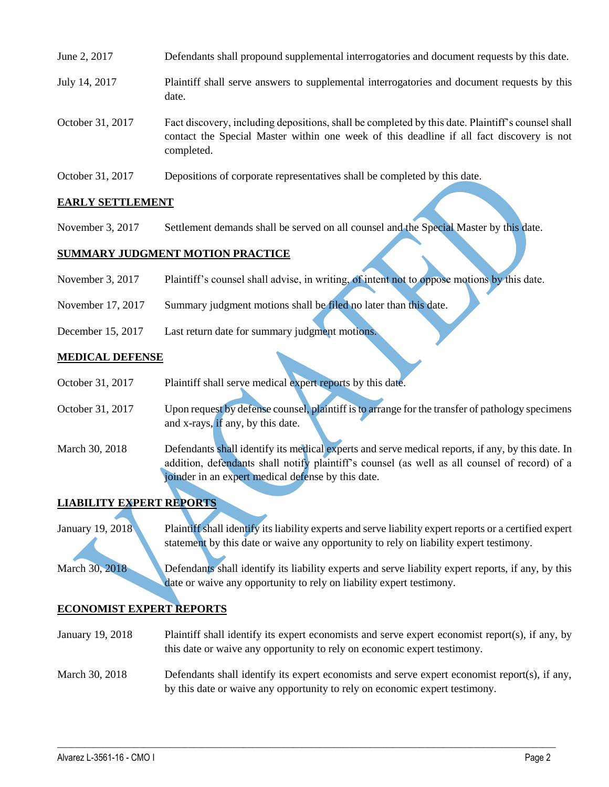| June 2, 2017     | Defendants shall propound supplemental interrogatories and document requests by this date.                                                                                                                  |
|------------------|-------------------------------------------------------------------------------------------------------------------------------------------------------------------------------------------------------------|
| July 14, 2017    | Plaintiff shall serve answers to supplemental interrogatories and document requests by this<br>date.                                                                                                        |
| October 31, 2017 | Fact discovery, including depositions, shall be completed by this date. Plaintiff's counsel shall<br>contact the Special Master within one week of this deadline if all fact discovery is not<br>completed. |
| October 31, 2017 | Depositions of corporate representatives shall be completed by this date.                                                                                                                                   |

## **EARLY SETTLEMENT**

November 3, 2017 Settlement demands shall be served on all counsel and the Special Master by this date.

### **SUMMARY JUDGMENT MOTION PRACTICE**

- November 3, 2017 Plaintiff's counsel shall advise, in writing, of intent not to oppose motions by this date.
- November 17, 2017 Summary judgment motions shall be filed no later than this date.
- December 15, 2017 Last return date for summary judgment motions.

### **MEDICAL DEFENSE**

- October 31, 2017 Plaintiff shall serve medical expert reports by this date.
- October 31, 2017 Upon request by defense counsel, plaintiff is to arrange for the transfer of pathology specimens and x-rays, if any, by this date.
- March 30, 2018 Defendants shall identify its medical experts and serve medical reports, if any, by this date. In addition, defendants shall notify plaintiff's counsel (as well as all counsel of record) of a joinder in an expert medical defense by this date.

# **LIABILITY EXPERT REPORTS**

January 19, 2018 Plaintiff shall identify its liability experts and serve liability expert reports or a certified expert statement by this date or waive any opportunity to rely on liability expert testimony.

March 30, 2018 Defendants shall identify its liability experts and serve liability expert reports, if any, by this date or waive any opportunity to rely on liability expert testimony.

### **ECONOMIST EXPERT REPORTS**

January 19, 2018 Plaintiff shall identify its expert economists and serve expert economist report(s), if any, by this date or waive any opportunity to rely on economic expert testimony.

## March 30, 2018 Defendants shall identify its expert economists and serve expert economist report(s), if any, by this date or waive any opportunity to rely on economic expert testimony.

 $\_$  ,  $\_$  ,  $\_$  ,  $\_$  ,  $\_$  ,  $\_$  ,  $\_$  ,  $\_$  ,  $\_$  ,  $\_$  ,  $\_$  ,  $\_$  ,  $\_$  ,  $\_$  ,  $\_$  ,  $\_$  ,  $\_$  ,  $\_$  ,  $\_$  ,  $\_$  ,  $\_$  ,  $\_$  ,  $\_$  ,  $\_$  ,  $\_$  ,  $\_$  ,  $\_$  ,  $\_$  ,  $\_$  ,  $\_$  ,  $\_$  ,  $\_$  ,  $\_$  ,  $\_$  ,  $\_$  ,  $\_$  ,  $\_$  ,